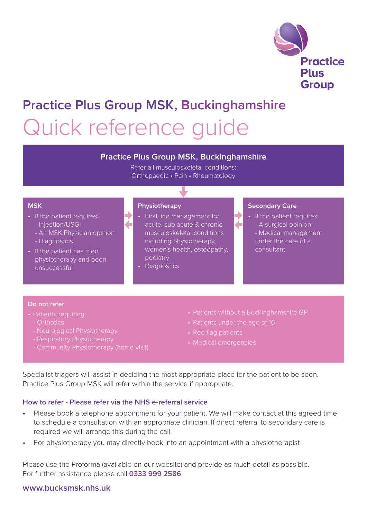

## **Practice Plus Group MSK, Buckinghamshire** Quick reference guide

### **Practice Plus Group MSK, Buckinghamshire**

Refer all musculoskeletal conditions: Orthopaedic • Pain • Rheumatology

#### **MSK**

- If the patient requires:
	- Injection/USGI
	- An MSK Physician opinion
	- Diagnostics
- If the patient has tried physiotherapy and been unsuccessful

#### **Physiotherapy**

- First line management for acute, sub acute & chronic musculoskeletal conditions including physiotherapy, women's health, osteopathy, podiatry
- Diagnostics

#### **Secondary Care**

• If the patient requires: - A surgical opinion - Medical management under the care of a consultant

#### **Do not refer**

- Patients requiring:
	- Orthotics
	- Neurological Physiotherapy
	- Respiratory Physiotherapy
	- Community Physiotherapy (home visit)
- Patients without a Buckinghamshire GP
- Patients under the age of 16
- Red flag patients
- Medical emergencies

Specialist triagers will assist in deciding the most appropriate place for the patient to be seen. Practice Plus Group MSK will refer within the service if appropriate.

#### **How to refer - Please refer via the NHS e-referral service**

- Please book a telephone appointment for your patient. We will make contact at this agreed time to schedule a consultation with an appropriate clinician. If direct referral to secondary care is required we will arrange this during the call.
- For physiotherapy you may directly book into an appointment with a physiotherapist

Please use the Proforma (available on our website) and provide as much detail as possible. For further assistance please call **0333 999 2586**

### **www.bucksmsk.nhs.uk**